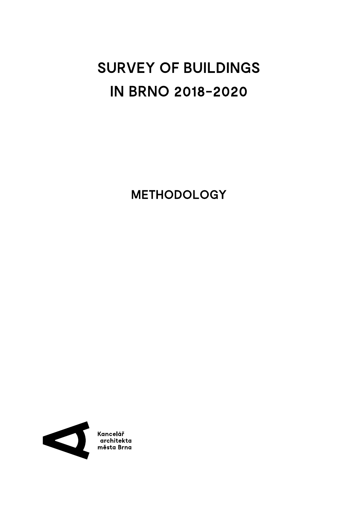# SURVEY OF BUILDINGS IN BRNO 2018-2020

METHODOLOGY

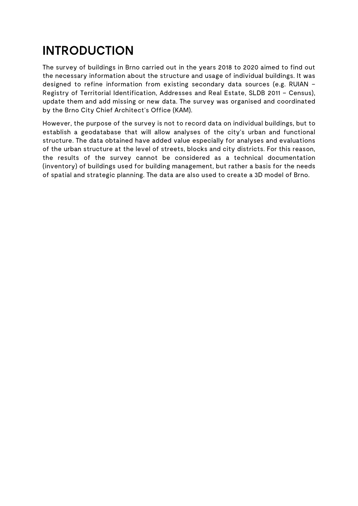# INTRODUCTION

The survey of buildings in Brno carried out in the years 2018 to 2020 aimed to find out the necessary information about the structure and usage of individual buildings. It was designed to refine information from existing secondary data sources (e.g. RUIAN – Registry of Territorial Identification, Addresses and Real Estate, SLDB 2011 – Census), update them and add missing or new data. The survey was organised and coordinated by the Brno City Chief Architect's Office (KAM).

However, the purpose of the survey is not to record data on individual buildings, but to establish a geodatabase that will allow analyses of the city's urban and functional structure. The data obtained have added value especially for analyses and evaluations of the urban structure at the level of streets, blocks and city districts. For this reason, the results of the survey cannot be considered as a technical documentation (inventory) of buildings used for building management, but rather a basis for the needs of spatial and strategic planning. The data are also used to create a 3D model of Brno.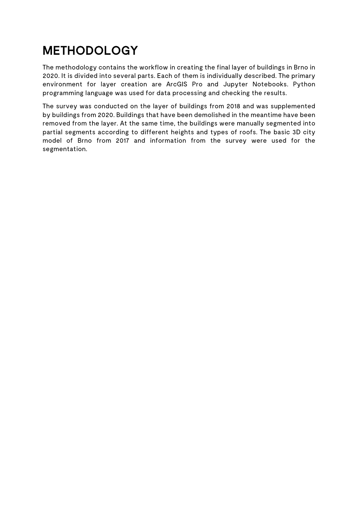### METHODOLOGY

The methodology contains the workflow in creating the final layer of buildings in Brno in 2020. It is divided into several parts. Each of them is individually described. The primary environment for layer creation are ArcGIS Pro and Jupyter Notebooks. Python programming language was used for data processing and checking the results.

The survey was conducted on the layer of buildings from 2018 and was supplemented by buildings from 2020. Buildings that have been demolished in the meantime have been removed from the layer. At the same time, the buildings were manually segmented into partial segments according to different heights and types of roofs. The basic 3D city model of Brno from 2017 and information from the survey were used for the segmentation.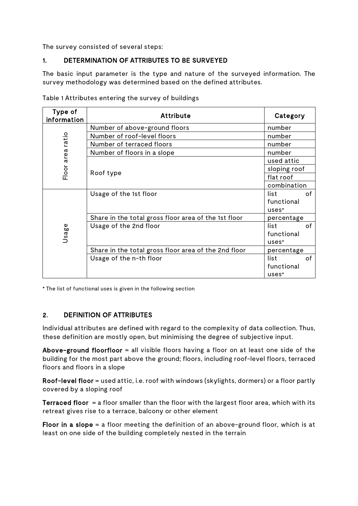The survey consisted of several steps:

#### 1. DETERMINATION OF ATTRIBUTES TO BE SURVEYED

The basic input parameter is the type and nature of the surveyed information. The survey methodology was determined based on the defined attributes.

| Type of<br>information | <b>Attribute</b>                                     | Category     |
|------------------------|------------------------------------------------------|--------------|
| ratio<br>area<br>Floor | Number of above-ground floors                        | number       |
|                        | Number of roof-level floors                          | number       |
|                        | Number of terraced floors                            | number       |
|                        | Number of floors in a slope                          | number       |
|                        |                                                      | used attic   |
|                        | Roof type                                            | sloping roof |
|                        |                                                      | flat roof    |
|                        |                                                      | combination  |
| Φ<br>Usag              | Usage of the 1st floor                               | of<br>list   |
|                        |                                                      | functional   |
|                        |                                                      | uses*        |
|                        | Share in the total gross floor area of the 1st floor | percentage   |
|                        | Usage of the 2nd floor                               | of<br>list   |
|                        |                                                      | functional   |
|                        |                                                      | uses*        |
|                        | Share in the total gross floor area of the 2nd floor | percentage   |
|                        | Usage of the n-th floor                              | list<br>of   |
|                        |                                                      | functional   |
|                        |                                                      | uses*        |

Table 1 Attributes entering the survey of buildings

\* The list of functional uses is given in the following section

#### 2. DEFINITION OF ATTRIBUTES

Individual attributes are defined with regard to the complexity of data collection. Thus, these definition are mostly open, but minimising the degree of subjective input.

Above-ground floorfloor = all visible floors having a floor on at least one side of the building for the most part above the ground; floors, including roof-level floors, terraced floors and floors in a slope

Roof-level floor = used attic, i.e. roof with windows (skylights, dormers) or a floor partly covered by a sloping roof

Terraced floor = a floor smaller than the floor with the largest floor area, which with its retreat gives rise to a terrace, balcony or other element

Floor in a slope  $=$  a floor meeting the definition of an above-ground floor, which is at least on one side of the building completely nested in the terrain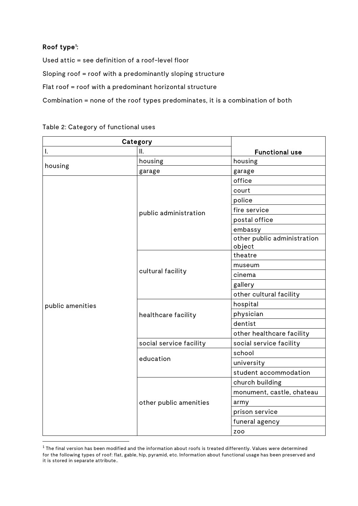### Roof type<sup>[1](#page-4-0)</sup>:

Used attic = see definition of a roof-level floor Sloping roof = roof with a predominantly sloping structure Flat roof = roof with a predominant horizontal structure Combination = none of the roof types predominates, it is a combination of both

#### Table 2: Category of functional uses

| Category         |                         |                                       |
|------------------|-------------------------|---------------------------------------|
| I.               | Ш.                      | <b>Functional use</b>                 |
| housing          | housing                 | housing                               |
|                  | garage                  | garage                                |
|                  | public administration   | office                                |
|                  |                         | court                                 |
|                  |                         | police                                |
|                  |                         | fire service                          |
|                  |                         | postal office                         |
|                  |                         | embassy                               |
|                  |                         | other public administration<br>object |
|                  | cultural facility       | theatre                               |
|                  |                         | museum                                |
|                  |                         | cinema                                |
|                  |                         | gallery                               |
|                  |                         | other cultural facility               |
| public amenities | healthcare facility     | hospital                              |
|                  |                         | physician                             |
|                  |                         | dentist                               |
|                  |                         | other healthcare facility             |
|                  | social service facility | social service facility               |
|                  | education               | school                                |
|                  |                         | university                            |
|                  |                         | student accommodation                 |
|                  | other public amenities  | church building                       |
|                  |                         | monument, castle, chateau             |
|                  |                         | army                                  |
|                  |                         | prison service                        |
|                  |                         | funeral agency                        |
|                  |                         | <b>ZOO</b>                            |

<span id="page-4-0"></span> $1$  The final version has been modified and the information about roofs is treated differently. Values were determined for the following types of roof: flat, gable, hip, pyramid, etc. Information about functional usage has been preserved and it is stored in separate attribute..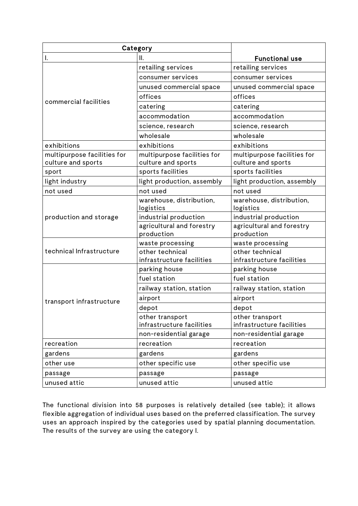| Category                                          |                                                   |                                                   |
|---------------------------------------------------|---------------------------------------------------|---------------------------------------------------|
| Ι.                                                | Ⅱ.                                                | <b>Functional use</b>                             |
|                                                   | retailing services                                | retailing services                                |
|                                                   | consumer services                                 | consumer services                                 |
|                                                   | unused commercial space                           | unused commercial space                           |
|                                                   | offices                                           | offices                                           |
| commercial facilities                             | catering                                          | catering                                          |
|                                                   | accommodation                                     | accommodation                                     |
|                                                   | science, research                                 | science, research                                 |
|                                                   | wholesale                                         | wholesale                                         |
| exhibitions                                       | exhibitions                                       | exhibitions                                       |
| multipurpose facilities for<br>culture and sports | multipurpose facilities for<br>culture and sports | multipurpose facilities for<br>culture and sports |
| sport                                             | sports facilities                                 | sports facilities                                 |
| light industry                                    | light production, assembly                        | light production, assembly                        |
| not used                                          | not used                                          | not used                                          |
|                                                   | warehouse, distribution,<br>logistics             | warehouse, distribution,<br>logistics             |
| production and storage                            | industrial production                             | industrial production                             |
|                                                   | agricultural and forestry<br>production           | agricultural and forestry<br>production           |
|                                                   | waste processing                                  | waste processing                                  |
| technical Infrastructure                          | other technical<br>infrastructure facilities      | other technical<br>infrastructure facilities      |
|                                                   | parking house                                     | parking house                                     |
|                                                   | fuel station                                      | fuel station                                      |
|                                                   | railway station, station                          | railway station, station                          |
|                                                   | airport                                           | airport                                           |
| transport infrastructure                          | depot                                             | depot                                             |
|                                                   | other transport<br>infrastructure facilities      | other transport<br>infrastructure facilities      |
|                                                   | non-residential garage                            | non-residential garage                            |
| recreation                                        | recreation                                        | recreation                                        |
| gardens                                           | gardens                                           | gardens                                           |
| other use                                         | other specific use                                | other specific use                                |
| passage                                           | passage                                           | passage                                           |
| unused attic                                      | unused attic                                      | unused attic                                      |

The functional division into 58 purposes is relatively detailed (see table); it allows flexible aggregation of individual uses based on the preferred classification. The survey uses an approach inspired by the categories used by spatial planning documentation. The results of the survey are using the category I.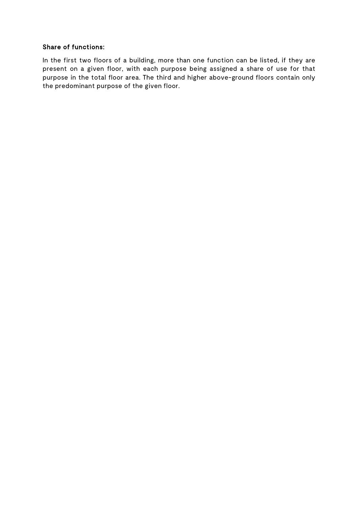#### Share of functions:

In the first two floors of a building, more than one function can be listed, if they are present on a given floor, with each purpose being assigned a share of use for that purpose in the total floor area. The third and higher above-ground floors contain only the predominant purpose of the given floor.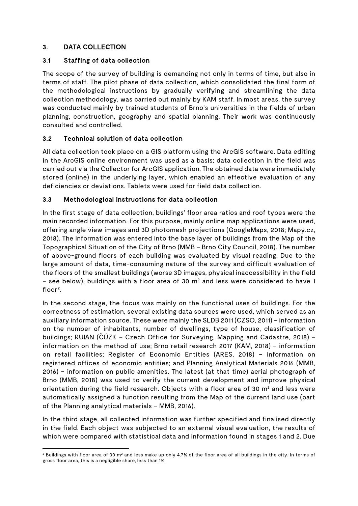### 3. DATA COLLECTION

#### 3.1 Staffing of data collection

The scope of the survey of building is demanding not only in terms of time, but also in terms of staff. The pilot phase of data collection, which consolidated the final form of the methodological instructions by gradually verifying and streamlining the data collection methodology, was carried out mainly by KAM staff. In most areas, the survey was conducted mainly by trained students of Brno's universities in the fields of urban planning, construction, geography and spatial planning. Their work was continuously consulted and controlled.

### 3.2 Technical solution of data collection

All data collection took place on a GIS platform using the ArcGIS software. Data editing in the ArcGIS online environment was used as a basis; data collection in the field was carried out via the Collector for ArcGIS application. The obtained data were immediately stored (online) in the underlying layer, which enabled an effective evaluation of any deficiencies or deviations. Tablets were used for field data collection.

#### 3.3 Methodological instructions for data collection

In the first stage of data collection, buildings' floor area ratios and roof types were the main recorded information. For this purpose, mainly online map applications were used, offering angle view images and 3D photomesh projections (GoogleMaps, 2018; Mapy.cz, 2018). The information was entered into the base layer of buildings from the Map of the Topographical Situation of the City of Brno (MMB – Brno City Council, 2018). The number of above-ground floors of each building was evaluated by visual reading. Due to the large amount of data, time-consuming nature of the survey and difficult evaluation of the floors of the smallest buildings (worse 3D images, physical inaccessibility in the field – see below), buildings with a floor area of 30  $m<sup>2</sup>$  and less were considered to have 1 floor<sup>[2](#page-7-0)</sup>.

In the second stage, the focus was mainly on the functional uses of buildings. For the correctness of estimation, several existing data sources were used, which served as an auxiliary information source. These were mainly the SLDB 2011 (CZSO, 2011) – information on the number of inhabitants, number of dwellings, type of house, classification of buildings; RUIAN (ČÚZK – Czech Office for Surveying, Mapping and Cadastre, 2018) – information on the method of use; Brno retail research 2017 (KAM, 2018) – information on retail facilities; Register of Economic Entities (ARES, 2018) – information on registered offices of economic entities; and Planning Analytical Materials 2016 (MMB, 2016) – information on public amenities. The latest (at that time) aerial photograph of Brno (MMB, 2018) was used to verify the current development and improve physical orientation during the field research. Objects with a floor area of 30  $m<sup>2</sup>$  and less were automatically assigned a function resulting from the Map of the current land use (part of the Planning analytical materials – MMB, 2016).

In the third stage, all collected information was further specified and finalised directly in the field. Each object was subjected to an external visual evaluation, the results of which were compared with statistical data and information found in stages 1 and 2. Due

<span id="page-7-0"></span> $2$  Buildings with floor area of 30 m<sup>2</sup> and less make up only 4.7% of the floor area of all buildings in the city. In terms of gross floor area, this is a negligible share, less than 1%.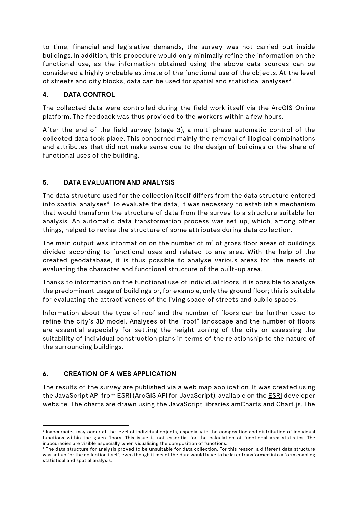to time, financial and legislative demands, the survey was not carried out inside buildings. In addition, this procedure would only minimally refine the information on the functional use, as the information obtained using the above data sources can be considered a highly probable estimate of the functional use of the objects. At the level of streets and city blocks, data can be used for spatial and statistical analyses<sup>[3](#page-8-0)</sup>.

### 4. DATA CONTROL

The collected data were controlled during the field work itself via the ArcGIS Online platform. The feedback was thus provided to the workers within a few hours.

After the end of the field survey (stage 3), a multi-phase automatic control of the collected data took place. This concerned mainly the removal of illogical combinations and attributes that did not make sense due to the design of buildings or the share of functional uses of the building.

#### 5. DATA EVALUATION AND ANALYSIS

The data structure used for the collection itself differs from the data structure entered into spatial analyses<sup>[4](#page-8-1)</sup>. To evaluate the data, it was necessary to establish a mechanism that would transform the structure of data from the survey to a structure suitable for analysis. An automatic data transformation process was set up, which, among other things, helped to revise the structure of some attributes during data collection.

The main output was information on the number of  $m<sup>2</sup>$  of gross floor areas of buildings divided according to functional uses and related to any area. With the help of the created geodatabase, it is thus possible to analyse various areas for the needs of evaluating the character and functional structure of the built-up area.

Thanks to information on the functional use of individual floors, it is possible to analyse the predominant usage of buildings or, for example, only the ground floor; this is suitable for evaluating the attractiveness of the living space of streets and public spaces.

Information about the type of roof and the number of floors can be further used to refine the city's 3D model. Analyses of the "roof" landscape and the number of floors are essential especially for setting the height zoning of the city or assessing the suitability of individual construction plans in terms of the relationship to the nature of the surrounding buildings.

#### 6. CREATION OF A WEB APPLICATION

The results of the survey are published via a web map application. It was created using the JavaScript API from [ESRI](https://developers.arcgis.com/javascript/) (ArcGIS API for JavaScript), available on the ESRI developer website. The charts are drawn using the JavaScript libraries [amCharts](https://www.amcharts.com/) and [Chart.js](https://www.chartjs.org/). The

<span id="page-8-0"></span><sup>&</sup>lt;sup>3</sup> Inaccuracies may occur at the level of individual objects, especially in the composition and distribution of individual functions within the given floors. This issue is not essential for the calculation of functional area statistics. The inaccuracies are visible especially when visualising the composition of functions.

<span id="page-8-1"></span><sup>4</sup> The data structure for analysis proved to be unsuitable for data collection. For this reason, a different data structure was set up for the collection itself, even though it meant the data would have to be later transformed into a form enabling statistical and spatial analysis.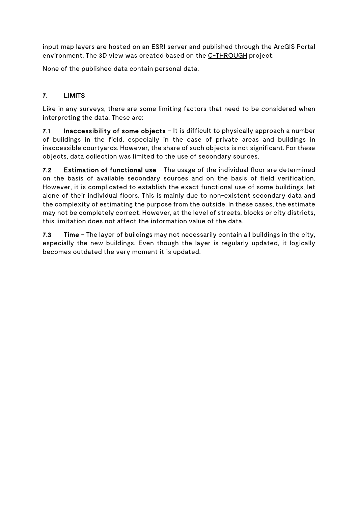input map layers are hosted on an ESRI server and published through the ArcGIS Portal environment. The 3D view was created based on the [C-THROUGH](https://github.com/Esri/c-through) project.

None of the published data contain personal data.

### 7. LIMITS

Like in any surveys, there are some limiting factors that need to be considered when interpreting the data. These are:

7.1 Inaccessibility of some objects – It is difficult to physically approach a number of buildings in the field, especially in the case of private areas and buildings in inaccessible courtyards. However, the share of such objects is not significant. For these objects, data collection was limited to the use of secondary sources.

7.2 Estimation of functional use – The usage of the individual floor are determined on the basis of available secondary sources and on the basis of field verification. However, it is complicated to establish the exact functional use of some buildings, let alone of their individual floors. This is mainly due to non-existent secondary data and the complexity of estimating the purpose from the outside. In these cases, the estimate may not be completely correct. However, at the level of streets, blocks or city districts, this limitation does not affect the information value of the data.

7.3 Time – The layer of buildings may not necessarily contain all buildings in the city, especially the new buildings. Even though the layer is regularly updated, it logically becomes outdated the very moment it is updated.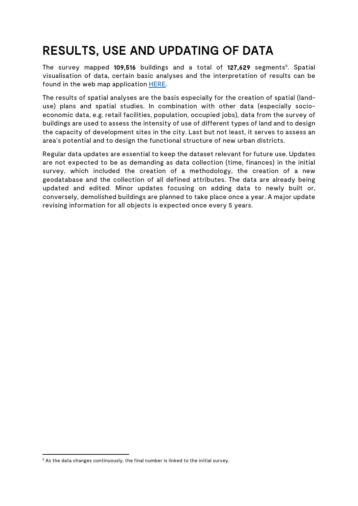### RESULTS, USE AND UPDATING OF DATA

The survey mapped 109,[5](#page-10-0)16 buildings and a total of 127,629 segments<sup>5</sup>. Spatial visualisation of data, certain basic analyses and the interpretation of results can be found in the web map application **HERE**.

The results of spatial analyses are the basis especially for the creation of spatial (landuse) plans and spatial studies. In combination with other data (especially socioeconomic data, e.g. retail facilities, population, occupied jobs), data from the survey of buildings are used to assess the intensity of use of different types of land and to design the capacity of development sites in the city. Last but not least, it serves to assess an area's potential and to design the functional structure of new urban districts.

Regular data updates are essential to keep the dataset relevant for future use. Updates are not expected to be as demanding as data collection (time, finances) in the initial survey, which included the creation of a methodology, the creation of a new geodatabase and the collection of all defined attributes. The data are already being updated and edited. Minor updates focusing on adding data to newly built or, conversely, demolished buildings are planned to take place once a year. A major update revising information for all objects is expected once every 5 years.

<span id="page-10-0"></span> $5$  As the data changes continuously, the final number is linked to the initial survey.